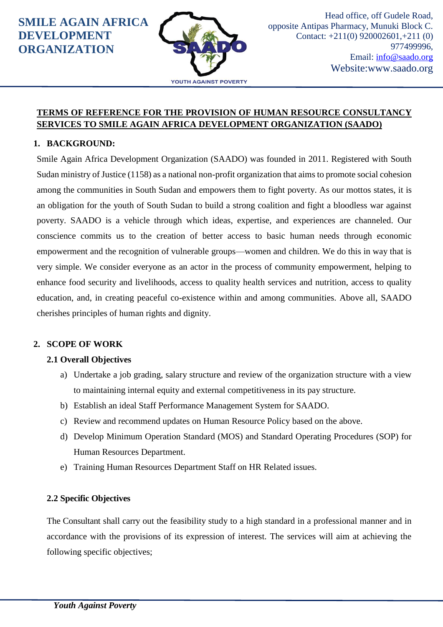

#### **TERMS OF REFERENCE FOR THE PROVISION OF HUMAN RESOURCE CONSULTANCY SERVICES TO SMILE AGAIN AFRICA DEVELOPMENT ORGANIZATION (SAADO)**

#### **1. BACKGROUND:**

Smile Again Africa Development Organization (SAADO) was founded in 2011. Registered with South Sudan ministry of Justice (1158) as a national non-profit organization that aims to promote social cohesion among the communities in South Sudan and empowers them to fight poverty. As our mottos states, it is an obligation for the youth of South Sudan to build a strong coalition and fight a bloodless war against poverty. SAADO is a vehicle through which ideas, expertise, and experiences are channeled. Our conscience commits us to the creation of better access to basic human needs through economic empowerment and the recognition of vulnerable groups—women and children. We do this in way that is very simple. We consider everyone as an actor in the process of community empowerment, helping to enhance food security and livelihoods, access to quality health services and nutrition, access to quality education, and, in creating peaceful co-existence within and among communities. Above all, SAADO cherishes principles of human rights and dignity.

#### **2. SCOPE OF WORK**

#### **2.1 Overall Objectives**

- a) Undertake a job grading, salary structure and review of the organization structure with a view to maintaining internal equity and external competitiveness in its pay structure.
- b) Establish an ideal Staff Performance Management System for SAADO.
- c) Review and recommend updates on Human Resource Policy based on the above.
- d) Develop Minimum Operation Standard (MOS) and Standard Operating Procedures (SOP) for Human Resources Department.
- e) Training Human Resources Department Staff on HR Related issues.

#### **2.2 Specific Objectives**

The Consultant shall carry out the feasibility study to a high standard in a professional manner and in accordance with the provisions of its expression of interest. The services will aim at achieving the following specific objectives;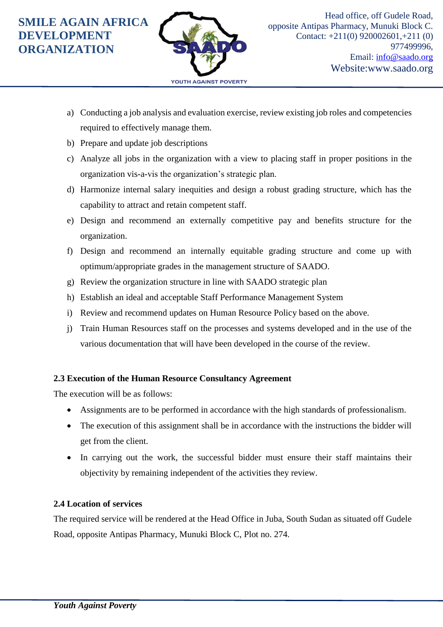

- a) Conducting a job analysis and evaluation exercise, review existing job roles and competencies required to effectively manage them.
- b) Prepare and update job descriptions
- c) Analyze all jobs in the organization with a view to placing staff in proper positions in the organization vis-a-vis the organization's strategic plan.
- d) Harmonize internal salary inequities and design a robust grading structure, which has the capability to attract and retain competent staff.
- e) Design and recommend an externally competitive pay and benefits structure for the organization.
- f) Design and recommend an internally equitable grading structure and come up with optimum/appropriate grades in the management structure of SAADO.
- g) Review the organization structure in line with SAADO strategic plan
- h) Establish an ideal and acceptable Staff Performance Management System
- i) Review and recommend updates on Human Resource Policy based on the above.
- j) Train Human Resources staff on the processes and systems developed and in the use of the various documentation that will have been developed in the course of the review.

#### **2.3 Execution of the Human Resource Consultancy Agreement**

The execution will be as follows:

- Assignments are to be performed in accordance with the high standards of professionalism.
- The execution of this assignment shall be in accordance with the instructions the bidder will get from the client.
- In carrying out the work, the successful bidder must ensure their staff maintains their objectivity by remaining independent of the activities they review.

#### **2.4 Location of services**

The required service will be rendered at the Head Office in Juba, South Sudan as situated off Gudele Road, opposite Antipas Pharmacy, Munuki Block C, Plot no. 274.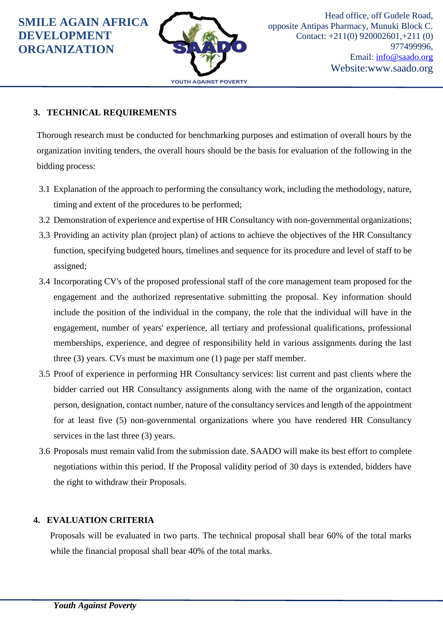

### **3. TECHNICAL REQUIREMENTS**

Thorough research must be conducted for benchmarking purposes and estimation of overall hours by the organization inviting tenders, the overall hours should be the basis for evaluation of the following in the bidding process:

- 3.1 Explanation of the approach to performing the consultancy work, including the methodology, nature, timing and extent of the procedures to be performed;
- 3.2 Demonstration of experience and expertise of HR Consultancy with non-governmental organizations;
- 3.3 Providing an activity plan (project plan) of actions to achieve the objectives of the HR Consultancy function, specifying budgeted hours, timelines and sequence for its procedure and level of staff to be assigned;
- 3.4 Incorporating CV's of the proposed professional staff of the core management team proposed for the engagement and the authorized representative submitting the proposal. Key information should include the position of the individual in the company, the role that the individual will have in the engagement, number of years' experience, all tertiary and professional qualifications, professional memberships, experience, and degree of responsibility held in various assignments during the last three (3) years. CVs must be maximum one (1) page per staff member.
- 3.5 Proof of experience in performing HR Consultancy services: list current and past clients where the bidder carried out HR Consultancy assignments along with the name of the organization, contact person, designation, contact number, nature of the consultancy services and length of the appointment for at least five (5) non-governmental organizations where you have rendered HR Consultancy services in the last three  $(3)$  years.
- 3.6 Proposals must remain valid from the submission date. SAADO will make its best effort to complete negotiations within this period. If the Proposal validity period of 30 days is extended, bidders have the right to withdraw their Proposals.

## **4. EVALUATION CRITERIA**

Proposals will be evaluated in two parts. The technical proposal shall bear 60% of the total marks while the financial proposal shall bear 40% of the total marks.